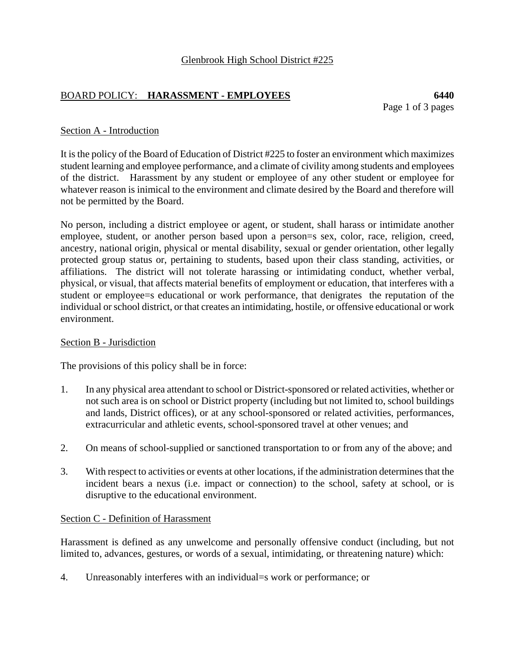# BOARD POLICY: **HARASSMENT - EMPLOYEES 6440**

Page 1 of 3 pages

## Section A - Introduction

It is the policy of the Board of Education of District #225 to foster an environment which maximizes student learning and employee performance, and a climate of civility among students and employees of the district. Harassment by any student or employee of any other student or employee for whatever reason is inimical to the environment and climate desired by the Board and therefore will not be permitted by the Board.

No person, including a district employee or agent, or student, shall harass or intimidate another employee, student, or another person based upon a person=s sex, color, race, religion, creed, ancestry, national origin, physical or mental disability, sexual or gender orientation, other legally protected group status or, pertaining to students, based upon their class standing, activities, or affiliations. The district will not tolerate harassing or intimidating conduct, whether verbal, physical, or visual, that affects material benefits of employment or education, that interferes with a student or employee=s educational or work performance, that denigrates the reputation of the individual or school district, or that creates an intimidating, hostile, or offensive educational or work environment.

#### Section B - Jurisdiction

The provisions of this policy shall be in force:

- 1. In any physical area attendant to school or District-sponsored or related activities, whether or not such area is on school or District property (including but not limited to, school buildings and lands, District offices), or at any school-sponsored or related activities, performances, extracurricular and athletic events, school-sponsored travel at other venues; and
- 2. On means of school-supplied or sanctioned transportation to or from any of the above; and
- 3. With respect to activities or events at other locations, if the administration determines that the incident bears a nexus (i.e. impact or connection) to the school, safety at school, or is disruptive to the educational environment.

#### Section C - Definition of Harassment

Harassment is defined as any unwelcome and personally offensive conduct (including, but not limited to, advances, gestures, or words of a sexual, intimidating, or threatening nature) which:

4. Unreasonably interferes with an individual=s work or performance; or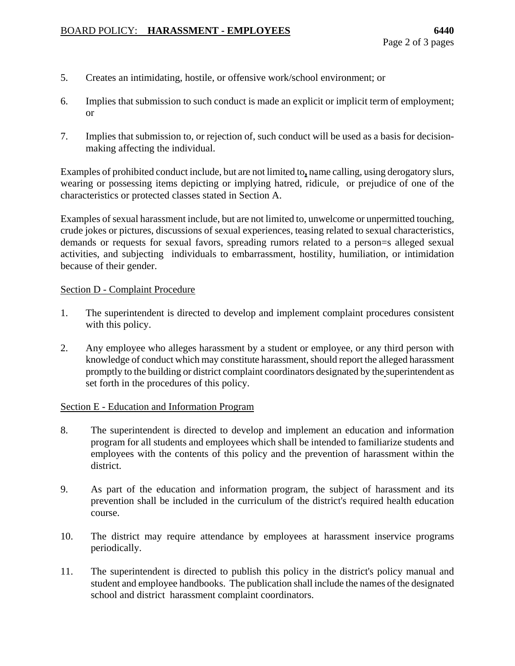- 5. Creates an intimidating, hostile, or offensive work/school environment; or
- 6. Implies that submission to such conduct is made an explicit or implicit term of employment; or
- 7. Implies that submission to, or rejection of, such conduct will be used as a basis for decisionmaking affecting the individual.

Examples of prohibited conduct include, but are not limited to**,** name calling, using derogatory slurs, wearing or possessing items depicting or implying hatred, ridicule, or prejudice of one of the characteristics or protected classes stated in Section A.

Examples of sexual harassment include, but are not limited to, unwelcome or unpermitted touching, crude jokes or pictures, discussions of sexual experiences, teasing related to sexual characteristics, demands or requests for sexual favors, spreading rumors related to a person=s alleged sexual activities, and subjecting individuals to embarrassment, hostility, humiliation, or intimidation because of their gender.

#### Section D - Complaint Procedure

- 1. The superintendent is directed to develop and implement complaint procedures consistent with this policy.
- 2. Any employee who alleges harassment by a student or employee, or any third person with knowledge of conduct which may constitute harassment, should report the alleged harassment promptly to the building or district complaint coordinators designated by the superintendent as set forth in the procedures of this policy.

#### Section E - Education and Information Program

- 8. The superintendent is directed to develop and implement an education and information program for all students and employees which shall be intended to familiarize students and employees with the contents of this policy and the prevention of harassment within the district.
- 9. As part of the education and information program, the subject of harassment and its prevention shall be included in the curriculum of the district's required health education course.
- 10. The district may require attendance by employees at harassment inservice programs periodically.
- 11. The superintendent is directed to publish this policy in the district's policy manual and student and employee handbooks. The publication shall include the names of the designated school and district harassment complaint coordinators.